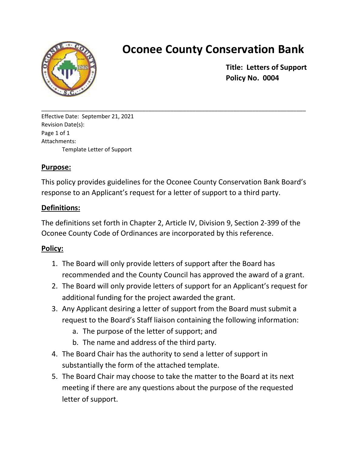

## **Oconee County Conservation Bank**

**Title: Letters of Support Policy No. 0004**

Effective Date: September 21, 2021 Revision Date(s): Page 1 of 1 Attachments: Template Letter of Support

## **Purpose:**

This policy provides guidelines for the Oconee County Conservation Bank Board's response to an Applicant's request for a letter of support to a third party.

\_\_\_\_\_\_\_\_\_\_\_\_\_\_\_\_\_\_\_\_\_\_\_\_\_\_\_\_\_\_\_\_\_\_\_\_\_\_\_\_\_\_\_\_\_\_\_\_\_\_\_\_\_\_\_\_\_\_\_\_\_\_\_\_\_\_\_\_\_\_\_\_\_\_\_\_\_\_\_\_\_\_\_\_

## **Definitions:**

The definitions set forth in Chapter 2, Article IV, Division 9, Section 2-399 of the Oconee County Code of Ordinances are incorporated by this reference.

## **Policy:**

- 1. The Board will only provide letters of support after the Board has recommended and the County Council has approved the award of a grant.
- 2. The Board will only provide letters of support for an Applicant's request for additional funding for the project awarded the grant.
- 3. Any Applicant desiring a letter of support from the Board must submit a request to the Board's Staff liaison containing the following information:
	- a. The purpose of the letter of support; and
	- b. The name and address of the third party.
- 4. The Board Chair has the authority to send a letter of support in substantially the form of the attached template.
- 5. The Board Chair may choose to take the matter to the Board at its next meeting if there are any questions about the purpose of the requested letter of support.